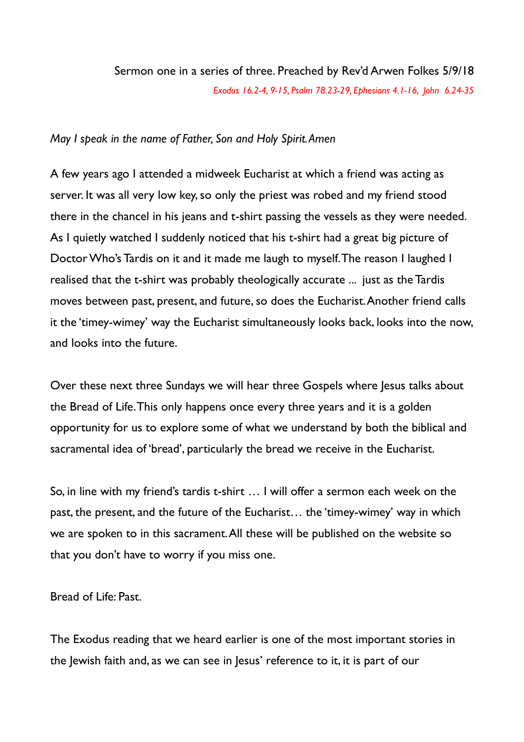## Sermon one in a series of three. Preached by Rev'd Arwen Folkes 5/9/18 *Exodus 16.2-4, 9-15, Psalm 78.23-29, Ephesians 4.1-16, John 6.24-35*

## *May I speak in the name of Father, Son and Holy Spirit. Amen*

A few years ago I attended a midweek Eucharist at which a friend was acting as server. It was all very low key, so only the priest was robed and my friend stood there in the chancel in his jeans and t-shirt passing the vessels as they were needed. As I quietly watched I suddenly noticed that his t-shirt had a great big picture of Doctor Who's Tardis on it and it made me laugh to myself. The reason I laughed I realised that the t-shirt was probably theologically accurate ... just as the Tardis moves between past, present, and future, so does the Eucharist. Another friend calls it the 'timey-wimey' way the Eucharist simultaneously looks back, looks into the now, and looks into the future.

Over these next three Sundays we will hear three Gospels where Jesus talks about the Bread of Life. This only happens once every three years and it is a golden opportunity for us to explore some of what we understand by both the biblical and sacramental idea of 'bread', particularly the bread we receive in the Eucharist.

So, in line with my friend's tardis t-shirt … I will offer a sermon each week on the past, the present, and the future of the Eucharist… the 'timey-wimey' way in which we are spoken to in this sacrament. All these will be published on the website so that you don't have to worry if you miss one.

Bread of Life: Past.

The Exodus reading that we heard earlier is one of the most important stories in the Jewish faith and, as we can see in Jesus' reference to it, it is part of our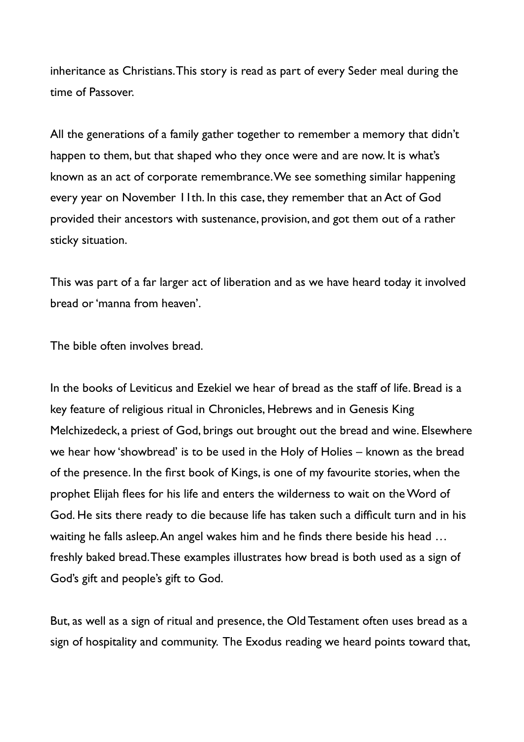inheritance as Christians. This story is read as part of every Seder meal during the time of Passover.

All the generations of a family gather together to remember a memory that didn't happen to them, but that shaped who they once were and are now. It is what's known as an act of corporate remembrance. We see something similar happening every year on November 11th. In this case, they remember that an Act of God provided their ancestors with sustenance, provision, and got them out of a rather sticky situation.

This was part of a far larger act of liberation and as we have heard today it involved bread or 'manna from heaven'.

The bible often involves bread.

In the books of Leviticus and Ezekiel we hear of bread as the staff of life. Bread is a key feature of religious ritual in Chronicles, Hebrews and in Genesis King Melchizedeck, a priest of God, brings out brought out the bread and wine. Elsewhere we hear how 'showbread' is to be used in the Holy of Holies – known as the bread of the presence. In the first book of Kings, is one of my favourite stories, when the prophet Elijah flees for his life and enters the wilderness to wait on the Word of God. He sits there ready to die because life has taken such a difficult turn and in his waiting he falls asleep. An angel wakes him and he finds there beside his head ... freshly baked bread. These examples illustrates how bread is both used as a sign of God's gift and people's gift to God.

But, as well as a sign of ritual and presence, the Old Testament often uses bread as a sign of hospitality and community. The Exodus reading we heard points toward that,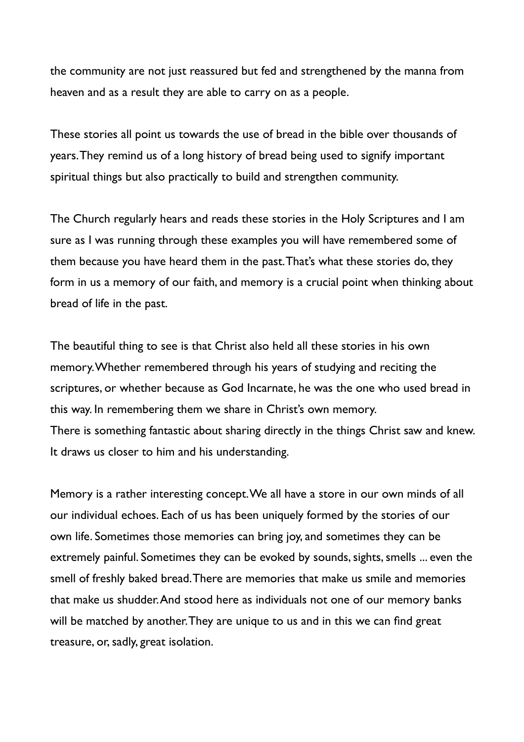the community are not just reassured but fed and strengthened by the manna from heaven and as a result they are able to carry on as a people.

These stories all point us towards the use of bread in the bible over thousands of years. They remind us of a long history of bread being used to signify important spiritual things but also practically to build and strengthen community.

The Church regularly hears and reads these stories in the Holy Scriptures and I am sure as I was running through these examples you will have remembered some of them because you have heard them in the past. That's what these stories do, they form in us a memory of our faith, and memory is a crucial point when thinking about bread of life in the past.

The beautiful thing to see is that Christ also held all these stories in his own memory. Whether remembered through his years of studying and reciting the scriptures, or whether because as God Incarnate, he was the one who used bread in this way. In remembering them we share in Christ's own memory. There is something fantastic about sharing directly in the things Christ saw and knew. It draws us closer to him and his understanding.

Memory is a rather interesting concept. We all have a store in our own minds of all our individual echoes. Each of us has been uniquely formed by the stories of our own life. Sometimes those memories can bring joy, and sometimes they can be extremely painful. Sometimes they can be evoked by sounds, sights, smells ... even the smell of freshly baked bread. There are memories that make us smile and memories that make us shudder. And stood here as individuals not one of our memory banks will be matched by another. They are unique to us and in this we can find great treasure, or, sadly, great isolation.